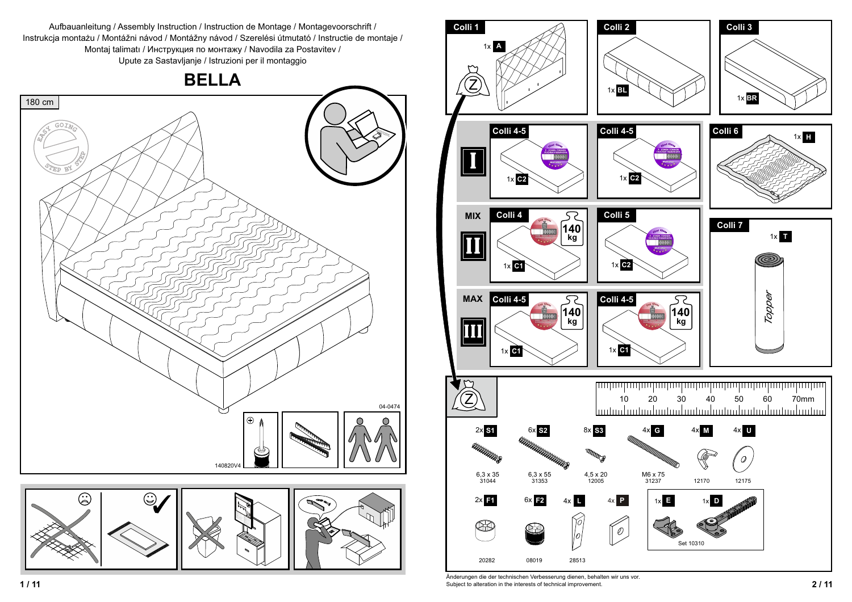Aufbauanleitung / Assembly Instruction / Instruction de Montage / Montagevoorschrift / Instrukcja montażu / Montážni návod / Montážny návod / Szerelési útmutató / Instructie de montaje / Montaj talimati / Инструкция по монтажу / Navodila za Postavitev /





 **2 / 11** Subject to alteration in the interests of technical improvement. Änderungen die der technischen Verbesserung dienen, behalten wir uns vor.

Upute za Sastavljanje / Istruzioni per il montaggio

**BELLA**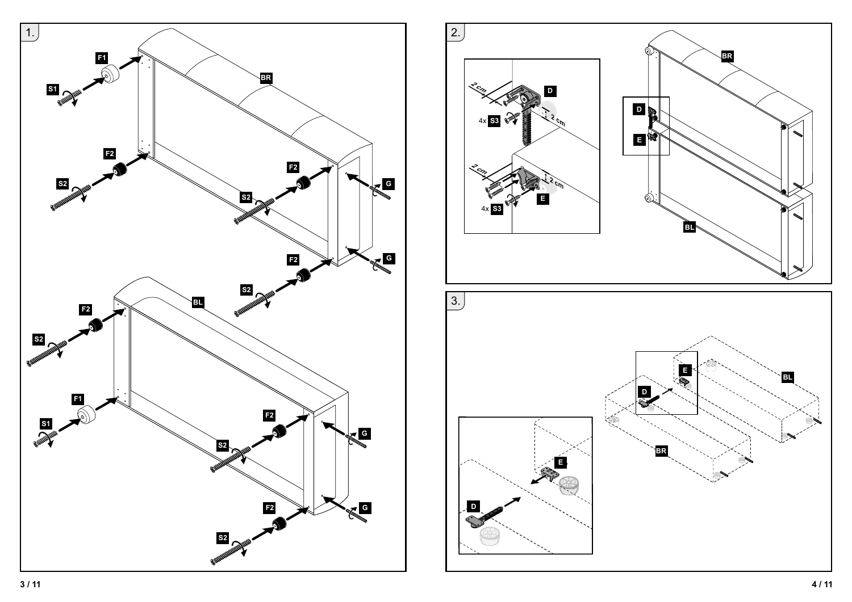

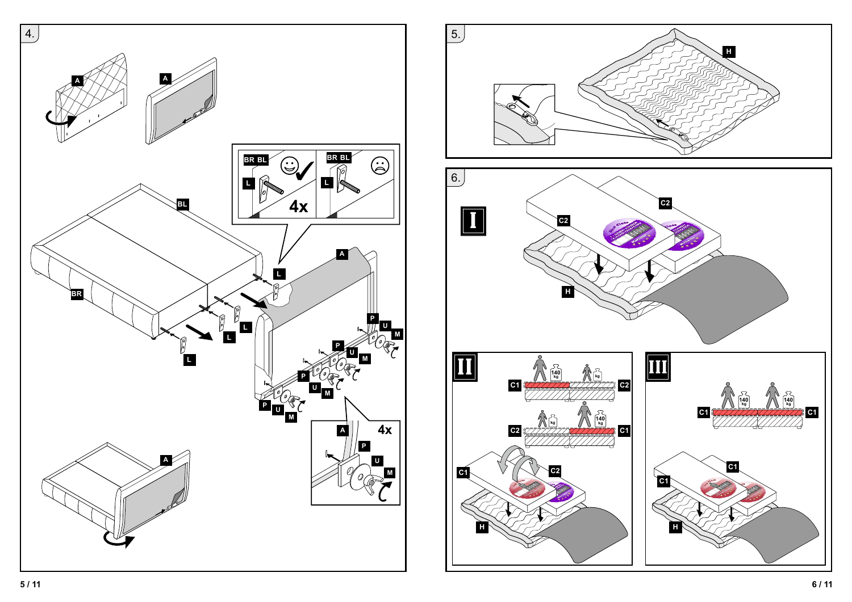

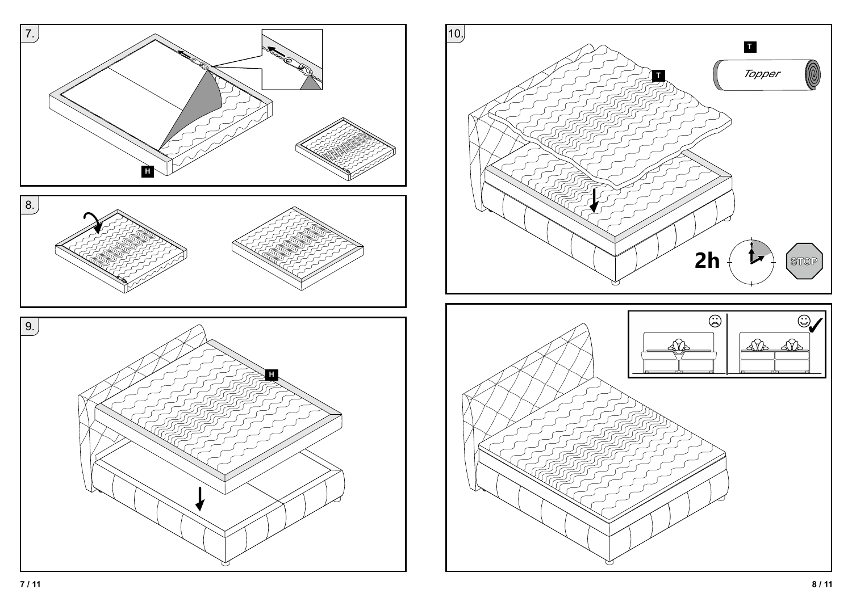



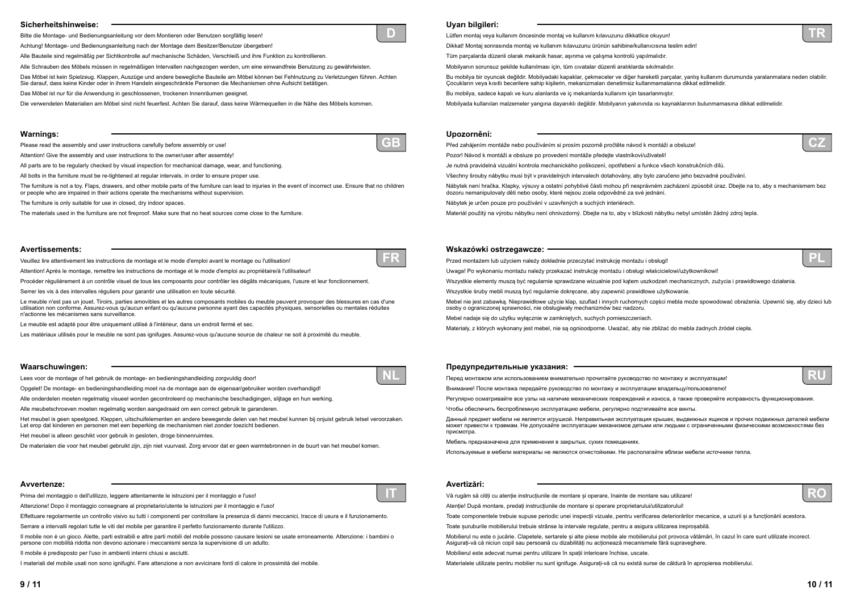# **Sicherheitshinweise:**

Bitte die Montage- und Bedienungsanleitung vor dem Montieren oder Benutzen sorgfältig lesen!

Achtung! Montage- und Bedienungsanleitung nach der Montage dem Besitzer/Benutzer übergeben!

Alle Bauteile sind regelmäßig per Sichtkontrolle auf mechanische Schäden, Verschleiß und ihre Funktion zu kontrollieren.

Alle Schrauben des Möbels müssen in regelmäßigen Intervallen nachgezogen werden, um eine einwandfreie Benutzung zu gewährleisten.

Das Möbel ist kein Spielzeug. Klappen, Auszüge und andere bewegliche Bauteile am Möbel können bei Fehlnutzung zu Verletzungen führen. Achten Sie darauf, dass keine Kinder oder in ihrem Handeln eingeschränkte Personen die Mechanismen ohne Aufsicht betätigen.

Das Möbel ist nur für die Anwendung in geschlossenen, trockenen Innenräumen geeignet.

Die verwendeten Materialien am Möbel sind nicht feuerfest. Achten Sie darauf, dass keine Wärmequellen in die Nähe des Möbels kommen.

# **Avvertenze:**

Prima del montaggio o dell'utilizzo, leggere attentamente le istruzioni per il montaggio e l'uso!

Attenzione! Dopo il montaggio consegnare al proprietario/utente le istruzioni per il montaggio e l'uso!

Effettuare regolarmente un controllo visivo su tutti i componenti per controllare la presenza di danni meccanici, tracce di usura e il funzionamento.

Serrare a intervalli regolari tutte le viti del mobile per garantire il perfetto funzionamento durante l'utilizzo.

Il mobile non è un gioco. Alette, parti estraibili e altre parti mobili del mobile possono causare lesioni se usate erroneamente. Attenzione: i bambini o persone con mobilità ridotta non devono azionare i meccanismi senza la supervisione di un adulto.

Il mobile è predisposto per l'uso in ambienti interni chiusi e asciutti.

I materiali del mobile usati non sono ignifughi. Fare attenzione a non avvicinare fonti di calore in prossimità del mobile.

#### **Warnings:**

Please read the assembly and user instructions carefully before assembly or use!

Attention! Give the assembly and user instructions to the owner/user after assembly!

All parts are to be regularly checked by visual inspection for mechanical damage, wear, and functioning.

All bolts in the furniture must be re-tightened at regular intervals, in order to ensure proper use.

The furniture is not a toy. Flaps, drawers, and other mobile parts of the furniture can lead to injuries in the event of incorrect use. Ensure that no children or people who are impaired in their actions operate the mechanisms without supervision.

The furniture is only suitable for use in closed, dry indoor spaces.

The materials used in the furniture are not fireproof. Make sure that no heat sources come close to the furniture.

### **Avertissements:**

Veuillez lire attentivement les instructions de montage et le mode d'emploi avant le montage ou l'utilisation!

Attention! Après le montage, remettre les instructions de montage et le mode d'emploi au propriétaire/à l'utilisateur!

Procéder régulièrement à un contrôle visuel de tous les composants pour contrôler les dégâts mécaniques, l'usure et leur fonctionnement.

Serrer les vis à des intervalles réguliers pour garantir une utilisation en toute sécurité.

Le meuble n'est pas un jouet. Tiroirs, parties amovibles et les autres composants mobiles du meuble peuvent provoquer des blessures en cas d'une utilisation non conforme. Assurez-vous qu'aucun enfant ou qu'aucune personne ayant des capacités physiques, sensorielles ou mentales réduites n'actionne les mécanismes sans surveillance.

Le meuble est adapté pour être uniquement utilisé à l'intérieur, dans un endroit fermé et sec.

Les matériaux utilisés pour le meuble ne sont pas ignifuges. Assurez-vous qu'aucune source de chaleur ne soit à proximité du meuble.

# **Waarschuwingen:**

Lees voor de montage of het gebruik de montage- en bedieningshandleiding zorgvuldig door!

Opgelet! De montage- en bedieningshandleiding moet na de montage aan de eigenaar/gebruiker worden overhandigd!

Alle onderdelen moeten regelmatig visueel worden gecontroleerd op mechanische beschadigingen, slijtage en hun werking.

Alle meubelschroeven moeten regelmatig worden aangedraaid om een correct gebruik te garanderen.

Het meubel is geen speelgoed. Kleppen, uitschuifelementen en andere bewegende delen van het meubel kunnen bij onjuist gebruik letsel veroorzaken. Let erop dat kinderen en personen met een beperking de mechanismen niet zonder toezicht bedienen.

Het meubel is alleen geschikt voor gebruik in gesloten, droge binnenruimtes.

Vă rugăm să citiți cu atenție instrucțiunile de montare și operare, înainte de montare sau utilizare! Atentie! După montare, predati instructiunile de montare și operare proprietarului/utilizatorului! Toate componentele trebuie supuse periodic unei inspecii vizuale, pentru verificarea deteriorărilor mecanice, a uzurii și a funcionării acestora. Toate șuruburile mobilierului trebuie strânse la intervale regulate, pentru a asigura utilizarea ireproșabilă. Mobilierul nu este o jucărie. Clapetele, sertarele și alte piese mobile ale mobilierului pot provoca vătămări, în cazul în care sunt utilizate incorect. Asigurai-vă că niciun copil sau persoană cu dizabilităi nu acionează mecanismele fără supraveghere. Mobilierul este adecvat numai pentru utilizare în spaii interioare închise, uscate. Materialele utilizate pentru mobilier nu sunt ignifuge. Asigurai-vă că nu există surse de căldură în apropierea mobilierului.

De materialen die voor het meubel gebruikt zijn, zijn niet vuurvast. Zorg ervoor dat er geen warmtebronnen in de buurt van het meubel komen.



**IT**

**GB**



**NL**

# **Uyarı bilgileri:**

Lütfen montaj veya kullanım öncesinde montaj ve kullanım kılavuzunu dikkatlice okuyun! Dikkat! Montaj sonrasında montaj ve kullanım kılavuzunu ürünün sahibine/kullanıcısına teslim edin! Tüm parçalarda düzenl'olarak mekan'k hasar, aşınma ve çalışma kontrolü yapılmalıdır. Mobilyanın sorunsuz şekilde kullanılması için, tüm cıvatalar düzenli aralıklarda sıkılmalıdır. Bu mobilya bir oyuncak değildir. Mobilyadaki kapaklar, çekmeceler ve diğer hareketli parçalar, yanlış kullanım durumunda yaralanmalara neden olabilir. Cocukların veya kısıtlı becerilere sahip kişilerin, mekanizmaları denetimsiz kullanmamalarına dikkat edilmelidir. Bu mobilya, sadece kapalı ve kuru alanlarda ve iç mekanlarda kullanım için tasarlanmıştır. Mobilyada kullanılan malzemeler yangına dayanıklı değildir. Mobilyanın yakınında ısı kaynaklarının bulunmamasına dikkat edilmelidir.

# **Upozornění:**

Před zahájením montáže nebo používáním si prosím pozorně pročtěte návod k montáži a obsluze! Pozor! Návod k montáži a obsluze po provedení montáže předejte vlastníkovi/uživateli! Je nutná pravidelná vizuální kontrola mechanického poškození, opotřebení a funkce všech konstrukčních dílů. Všechny šrouby nábytku musí být v pravidelných intervalech dotahovány, aby bylo zaručeno jeho bezvadné používání. Nábytek není hračka. Klapky, výsuvy a ostatní pohyblivé části mohou při nesprávném zacházení způsobit úraz. Dbejte na to, aby s mechanismem bez dozoru nemanipulovaly děti nebo osoby, které nejsou zcela odpovědné za své jednání. Nábytek je určen pouze pro používání v uzavřených a suchých interiérech.

#### **Wskazówki ostrzegawcze:**

Przed montażem lub użyciem należy dokładnie przeczytać instrukcję montażu i obsługi! Uwaga! Po wykonaniu montażu należy przekazać instrukcję montażu i obsługi właścicielowi/użytkownikowi! Wszystkie elementy muszą być regularnie sprawdzane wizualnie pod kątem uszkodzeń mechanicznych, zużycia i prawidłowego działania. Wszystkie śruby mebli muszą być regularnie dokręcane, aby zapewnić prawidłowe użytkowanie. Mebel nie jest zabawką. Nieprawidłowe użycie klap, szuflad i innych ruchomych części mebla może spowodować obrażenia. Upewnić się, aby dzieci lub osoby o ograniczonej sprawności, nie obsługiwały mechanizmów bez nadzoru. Mebel nadaje się do użytku wyłącznie w zamkniętych, suchych pomieszczeniach. Materiały, z których wykonany jest mebel, nie są ognioodporne. Uważać, aby nie zbliżać do mebla żadnych źródeł ciepła.

- 
- 
- 
- 
- 
- 
- 
- 
- 
- 
- 
- Materiál použitý na výrobu nábytku není ohnivzdorný. Dbejte na to, aby v blízkosti nábytku nebyl umístěn žádný zdroj tepla.
	-
	-
	-
	-
	-
	-
	-
	-
	-
	-
- Чтобы обеспечить беспроблемную эксплуатацию мебели, регулярно подтягивайте все винты.
	-
	-
	-
	-
	-
	-
	-
	-
	-





**PL**

### **Предупредительные указания:**

Перед монтажом или использованием внимательно прочитайте руководство по монтажу <sup>и</sup> эксплуатации! Внимание! После монтажа передайте руководство по монтажу <sup>и</sup> эксплуатации владельцу/пользователю! Регулярно осматривайте все узлы на наличие механических повреждений <sup>и</sup> износа, <sup>а</sup> также проверяйте исправность функционирования.

Данный предмет мебели не является игрушкой. Неправильная эксплуатация крышек, выдвижных ящиков <sup>и</sup> прочих подвижных деталей мебели

может привести <sup>к</sup> травмам. Не допускайте эксплуатации механизмов детьми или людьми <sup>с</sup> ограниченными физическими возможностями без присмотра.

Мебель предназначена для применения <sup>в</sup> закрытых, сухих помещениях.

Используемые <sup>в</sup> мебели материалы не являются огнестойкими. Не располагайте вблизи мебели источники тепла.

## **Avertizări:**